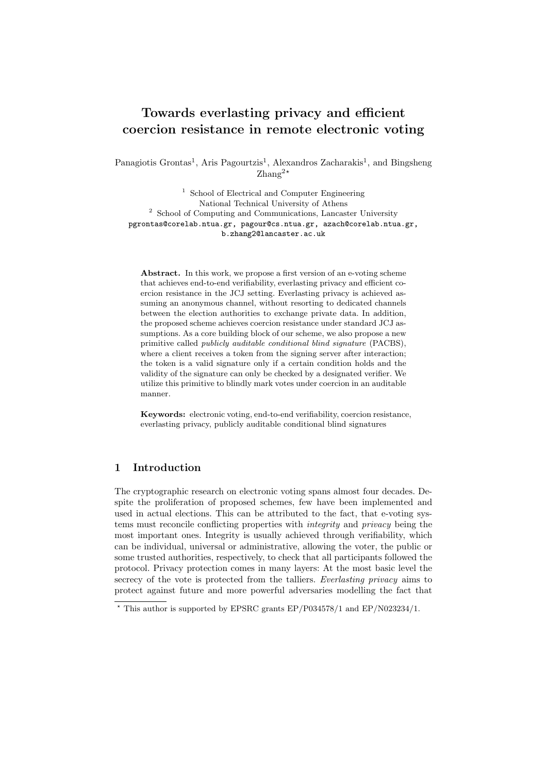# Towards everlasting privacy and efficient coercion resistance in remote electronic voting

Panagiotis Grontas<sup>1</sup>, Aris Pagourtzis<sup>1</sup>, Alexandros Zacharakis<sup>1</sup>, and Bingsheng  $\mathrm{Zhang}^{2*}$ 

<sup>1</sup> School of Electrical and Computer Engineering National Technical University of Athens <sup>2</sup> School of Computing and Communications, Lancaster University pgrontas@corelab.ntua.gr, pagour@cs.ntua.gr, azach@corelab.ntua.gr, b.zhang2@lancaster.ac.uk

Abstract. In this work, we propose a first version of an e-voting scheme that achieves end-to-end verifiability, everlasting privacy and efficient coercion resistance in the JCJ setting. Everlasting privacy is achieved assuming an anonymous channel, without resorting to dedicated channels between the election authorities to exchange private data. In addition, the proposed scheme achieves coercion resistance under standard JCJ assumptions. As a core building block of our scheme, we also propose a new primitive called publicly auditable conditional blind signature (PACBS), where a client receives a token from the signing server after interaction; the token is a valid signature only if a certain condition holds and the validity of the signature can only be checked by a designated verifier. We utilize this primitive to blindly mark votes under coercion in an auditable manner.

Keywords: electronic voting, end-to-end verifiability, coercion resistance, everlasting privacy, publicly auditable conditional blind signatures

### 1 Introduction

The cryptographic research on electronic voting spans almost four decades. Despite the proliferation of proposed schemes, few have been implemented and used in actual elections. This can be attributed to the fact, that e-voting systems must reconcile conflicting properties with integrity and privacy being the most important ones. Integrity is usually achieved through verifiability, which can be individual, universal or administrative, allowing the voter, the public or some trusted authorities, respectively, to check that all participants followed the protocol. Privacy protection comes in many layers: At the most basic level the secrecy of the vote is protected from the talliers. Everlasting privacy aims to protect against future and more powerful adversaries modelling the fact that

 $*$  This author is supported by EPSRC grants EP/P034578/1 and EP/N023234/1.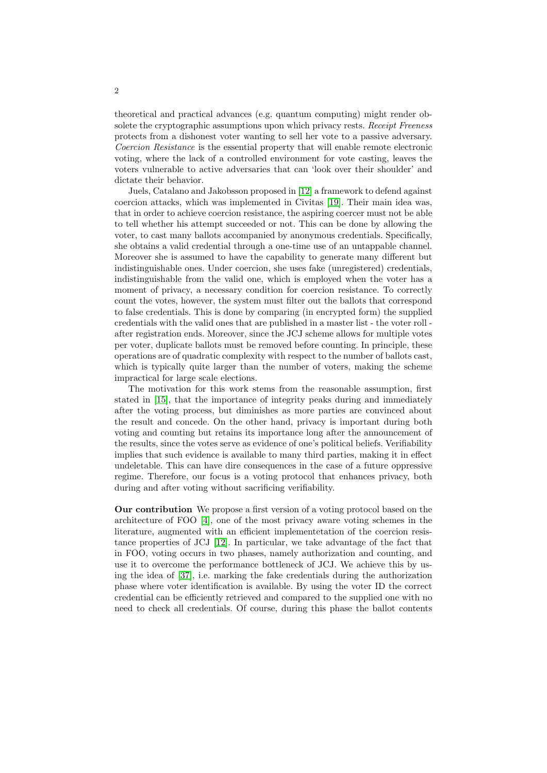theoretical and practical advances (e.g. quantum computing) might render obsolete the cryptographic assumptions upon which privacy rests. Receipt Freeness protects from a dishonest voter wanting to sell her vote to a passive adversary. Coercion Resistance is the essential property that will enable remote electronic voting, where the lack of a controlled environment for vote casting, leaves the voters vulnerable to active adversaries that can 'look over their shoulder' and dictate their behavior.

Juels, Catalano and Jakobsson proposed in [\[12\]](#page-13-0) a framework to defend against coercion attacks, which was implemented in Civitas [\[19\]](#page-14-0). Their main idea was, that in order to achieve coercion resistance, the aspiring coercer must not be able to tell whether his attempt succeeded or not. This can be done by allowing the voter, to cast many ballots accompanied by anonymous credentials. Specifically, she obtains a valid credential through a one-time use of an untappable channel. Moreover she is assumed to have the capability to generate many different but indistinguishable ones. Under coercion, she uses fake (unregistered) credentials, indistinguishable from the valid one, which is employed when the voter has a moment of privacy, a necessary condition for coercion resistance. To correctly count the votes, however, the system must filter out the ballots that correspond to false credentials. This is done by comparing (in encrypted form) the supplied credentials with the valid ones that are published in a master list - the voter roll after registration ends. Moreover, since the JCJ scheme allows for multiple votes per voter, duplicate ballots must be removed before counting. In principle, these operations are of quadratic complexity with respect to the number of ballots cast, which is typically quite larger than the number of voters, making the scheme impractical for large scale elections.

The motivation for this work stems from the reasonable assumption, first stated in [\[15\]](#page-13-1), that the importance of integrity peaks during and immediately after the voting process, but diminishes as more parties are convinced about the result and concede. On the other hand, privacy is important during both voting and counting but retains its importance long after the announcement of the results, since the votes serve as evidence of one's political beliefs. Verifiability implies that such evidence is available to many third parties, making it in effect undeletable. This can have dire consequences in the case of a future oppressive regime. Therefore, our focus is a voting protocol that enhances privacy, both during and after voting without sacrificing verifiability.

Our contribution We propose a first version of a voting protocol based on the architecture of FOO [\[4\]](#page-13-2), one of the most privacy aware voting schemes in the literature, augmented with an efficient implementetation of the coercion resistance properties of JCJ [\[12\]](#page-13-0). In particular, we take advantage of the fact that in FOO, voting occurs in two phases, namely authorization and counting, and use it to overcome the performance bottleneck of JCJ. We achieve this by using the idea of [\[37\]](#page-14-1), i.e. marking the fake credentials during the authorization phase where voter identification is available. By using the voter ID the correct credential can be efficiently retrieved and compared to the supplied one with no need to check all credentials. Of course, during this phase the ballot contents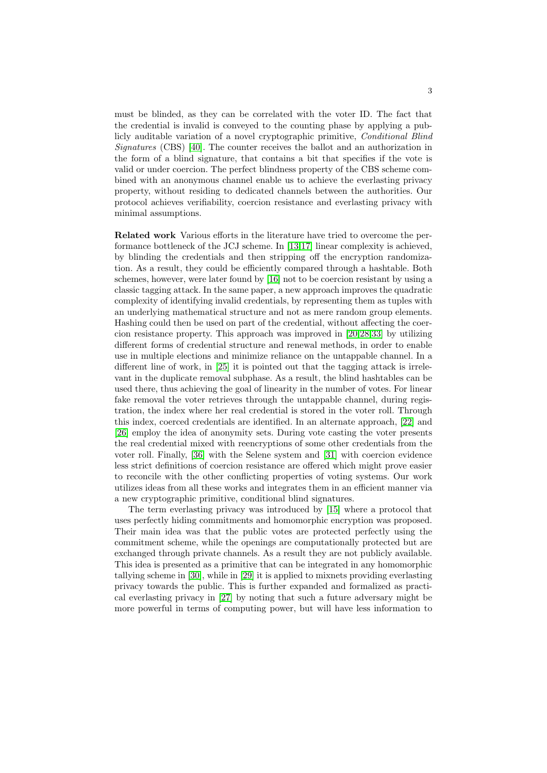must be blinded, as they can be correlated with the voter ID. The fact that the credential is invalid is conveyed to the counting phase by applying a publicly auditable variation of a novel cryptographic primitive, Conditional Blind Signatures (CBS) [\[40\]](#page-14-2). The counter receives the ballot and an authorization in the form of a blind signature, that contains a bit that specifies if the vote is valid or under coercion. The perfect blindness property of the CBS scheme combined with an anonymous channel enable us to achieve the everlasting privacy property, without residing to dedicated channels between the authorities. Our protocol achieves verifiability, coercion resistance and everlasting privacy with minimal assumptions.

Related work Various efforts in the literature have tried to overcome the performance bottleneck of the JCJ scheme. In [\[13,](#page-13-3)[17\]](#page-13-4) linear complexity is achieved, by blinding the credentials and then stripping off the encryption randomization. As a result, they could be efficiently compared through a hashtable. Both schemes, however, were later found by [\[16\]](#page-13-5) not to be coercion resistant by using a classic tagging attack. In the same paper, a new approach improves the quadratic complexity of identifying invalid credentials, by representing them as tuples with an underlying mathematical structure and not as mere random group elements. Hashing could then be used on part of the credential, without affecting the coercion resistance property. This approach was improved in [\[20,](#page-14-3)[28,](#page-14-4)[33\]](#page-14-5) by utilizing different forms of credential structure and renewal methods, in order to enable use in multiple elections and minimize reliance on the untappable channel. In a different line of work, in [\[25\]](#page-14-6) it is pointed out that the tagging attack is irrelevant in the duplicate removal subphase. As a result, the blind hashtables can be used there, thus achieving the goal of linearity in the number of votes. For linear fake removal the voter retrieves through the untappable channel, during registration, the index where her real credential is stored in the voter roll. Through this index, coerced credentials are identified. In an alternate approach, [\[22\]](#page-14-7) and [\[26\]](#page-14-8) employ the idea of anonymity sets. During vote casting the voter presents the real credential mixed with reencryptions of some other credentials from the voter roll. Finally, [\[36\]](#page-14-9) with the Selene system and [\[31\]](#page-14-10) with coercion evidence less strict definitions of coercion resistance are offered which might prove easier to reconcile with the other conflicting properties of voting systems. Our work utilizes ideas from all these works and integrates them in an efficient manner via a new cryptographic primitive, conditional blind signatures.

The term everlasting privacy was introduced by [\[15\]](#page-13-1) where a protocol that uses perfectly hiding commitments and homomorphic encryption was proposed. Their main idea was that the public votes are protected perfectly using the commitment scheme, while the openings are computationally protected but are exchanged through private channels. As a result they are not publicly available. This idea is presented as a primitive that can be integrated in any homomorphic tallying scheme in [\[30\]](#page-14-11), while in [\[29\]](#page-14-12) it is applied to mixnets providing everlasting privacy towards the public. This is further expanded and formalized as practical everlasting privacy in [\[27\]](#page-14-13) by noting that such a future adversary might be more powerful in terms of computing power, but will have less information to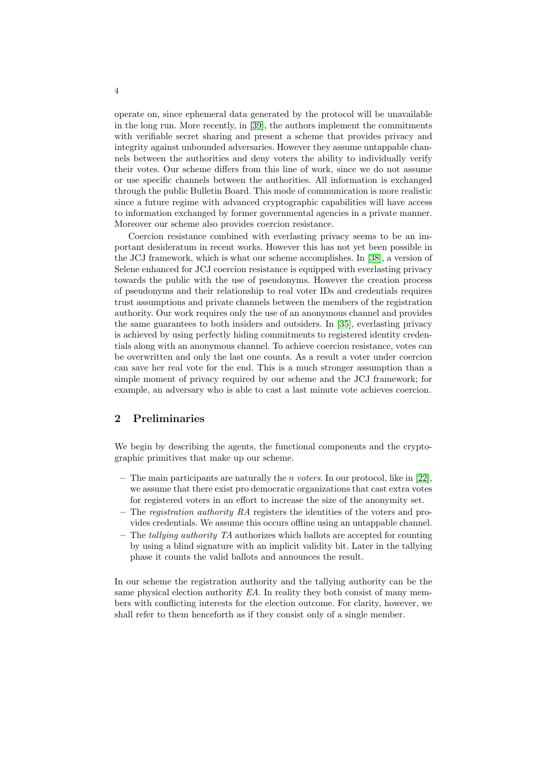operate on, since ephemeral data generated by the protocol will be unavailable in the long run. More recently, in [\[39\]](#page-14-14), the authors implement the commitments with verifiable secret sharing and present a scheme that provides privacy and integrity against unbounded adversaries. However they assume untappable channels between the authorities and deny voters the ability to individually verify their votes. Our scheme differs from this line of work, since we do not assume or use specific channels between the authorities. All information is exchanged through the public Bulletin Board. This mode of communication is more realistic since a future regime with advanced cryptographic capabilities will have access to information exchanged by former governmental agencies in a private manner. Moreover our scheme also provides coercion resistance.

Coercion resistance combined with everlasting privacy seems to be an important desideratum in recent works. However this has not yet been possible in the JCJ framework, which is what our scheme accomplishes. In [\[38\]](#page-14-15), a version of Selene enhanced for JCJ coercion resistance is equipped with everlasting privacy towards the public with the use of pseudonyms. However the creation process of pseudonyms and their relationship to real voter IDs and credentials requires trust assumptions and private channels between the members of the registration authority. Our work requires only the use of an anonymous channel and provides the same guarantees to both insiders and outsiders. In [\[35\]](#page-14-16), everlasting privacy is achieved by using perfectly hiding commitments to registered identity credentials along with an anonymous channel. To achieve coercion resistance, votes can be overwritten and only the last one counts. As a result a voter under coercion can save her real vote for the end. This is a much stronger assumption than a simple moment of privacy required by our scheme and the JCJ framework; for example, an adversary who is able to cast a last minute vote achieves coercion.

### 2 Preliminaries

We begin by describing the agents, the functional components and the cryptographic primitives that make up our scheme.

- The main participants are naturally the *n voters*. In our protocol, like in [\[22\]](#page-14-7), we assume that there exist pro democratic organizations that cast extra votes for registered voters in an effort to increase the size of the anonymity set.
- The registration authority RA registers the identities of the voters and provides credentials. We assume this occurs offline using an untappable channel.
- The tallying authority TA authorizes which ballots are accepted for counting by using a blind signature with an implicit validity bit. Later in the tallying phase it counts the valid ballots and announces the result.

In our scheme the registration authority and the tallying authority can be the same physical election authority  $EA$ . In reality they both consist of many members with conflicting interests for the election outcome. For clarity, however, we shall refer to them henceforth as if they consist only of a single member.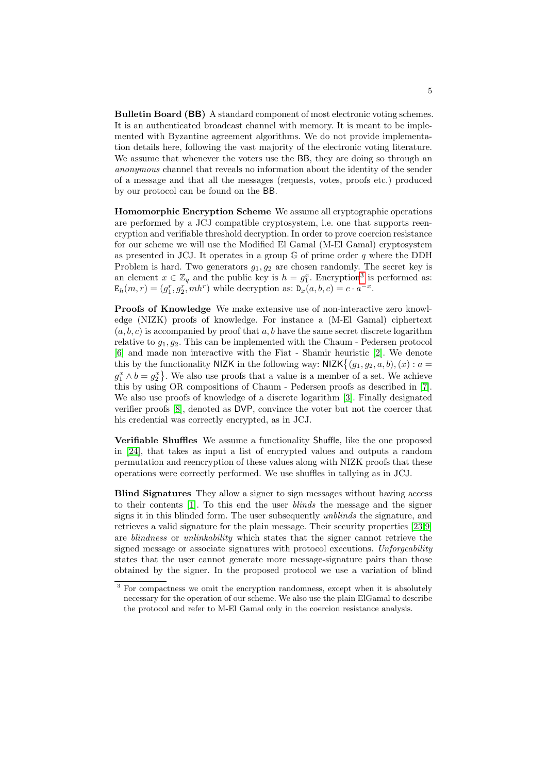Bulletin Board (BB) A standard component of most electronic voting schemes. It is an authenticated broadcast channel with memory. It is meant to be implemented with Byzantine agreement algorithms. We do not provide implementation details here, following the vast majority of the electronic voting literature. We assume that whenever the voters use the BB, they are doing so through an anonymous channel that reveals no information about the identity of the sender of a message and that all the messages (requests, votes, proofs etc.) produced by our protocol can be found on the BB.

Homomorphic Encryption Scheme We assume all cryptographic operations are performed by a JCJ compatible cryptosystem, i.e. one that supports reencryption and verifiable threshold decryption. In order to prove coercion resistance for our scheme we will use the Modified El Gamal (M-El Gamal) cryptosystem as presented in JCJ. It operates in a group  $\mathbb G$  of prime order  $q$  where the DDH Problem is hard. Two generators  $g_1, g_2$  are chosen randomly. The secret key is an element  $x \in \mathbb{Z}_q$  and the public key is  $h = g_1^x$ . Encryption<sup>[3](#page-4-0)</sup> is performed as:  $\mathbf{E}_h(m,r) = (g_1^r, g_2^r, mh^r)$  while decryption as:  $\mathbf{D}_x(a, b, c) = c \cdot a^{-x}$ .

Proofs of Knowledge We make extensive use of non-interactive zero knowledge (NIZK) proofs of knowledge. For instance a (M-El Gamal) ciphertext  $(a, b, c)$  is accompanied by proof that a, b have the same secret discrete logarithm relative to  $g_1, g_2$ . This can be implemented with the Chaum - Pedersen protocol [\[6\]](#page-13-6) and made non interactive with the Fiat - Shamir heuristic [\[2\]](#page-13-7). We denote this by the functionality NIZK in the following way:  $NIZK$ { $(g_1, g_2, a, b)$ , $(x)$  :  $a =$  $g_1^x \wedge b = g_2^x$ . We also use proofs that a value is a member of a set. We achieve this by using OR compositions of Chaum - Pedersen proofs as described in [\[7\]](#page-13-8). We also use proofs of knowledge of a discrete logarithm [\[3\]](#page-13-9). Finally designated verifier proofs [\[8\]](#page-13-10), denoted as DVP, convince the voter but not the coercer that his credential was correctly encrypted, as in JCJ.

Verifiable Shuffles We assume a functionality Shuffle, like the one proposed in [\[24\]](#page-14-17), that takes as input a list of encrypted values and outputs a random permutation and reencryption of these values along with NIZK proofs that these operations were correctly performed. We use shuffles in tallying as in JCJ.

Blind Signatures They allow a signer to sign messages without having access to their contents [\[1\]](#page-13-11). To this end the user blinds the message and the signer signs it in this blinded form. The user subsequently unblinds the signature, and retrieves a valid signature for the plain message. Their security properties [\[23,](#page-14-18)[9\]](#page-13-12) are blindness or unlinkability which states that the signer cannot retrieve the signed message or associate signatures with protocol executions. Unforgeability states that the user cannot generate more message-signature pairs than those obtained by the signer. In the proposed protocol we use a variation of blind

<span id="page-4-0"></span><sup>&</sup>lt;sup>3</sup> For compactness we omit the encryption randomness, except when it is absolutely necessary for the operation of our scheme. We also use the plain ElGamal to describe the protocol and refer to M-El Gamal only in the coercion resistance analysis.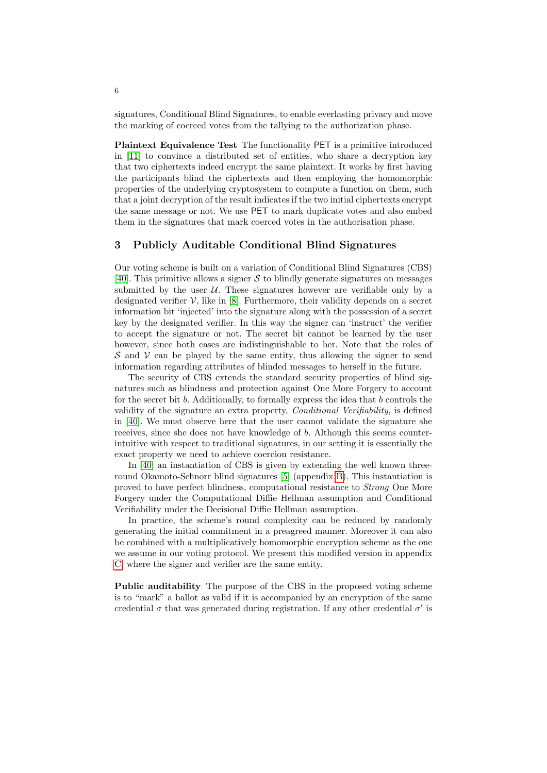signatures, Conditional Blind Signatures, to enable everlasting privacy and move the marking of coerced votes from the tallying to the authorization phase.

Plaintext Equivalence Test The functionality PET is a primitive introduced in [\[11\]](#page-13-13) to convince a distributed set of entities, who share a decryption key that two ciphertexts indeed encrypt the same plaintext. It works by first having the participants blind the ciphertexts and then employing the homomorphic properties of the underlying cryptosystem to compute a function on them, such that a joint decryption of the result indicates if the two initial ciphertexts encrypt the same message or not. We use PET to mark duplicate votes and also embed them in the signatures that mark coerced votes in the authorisation phase.

## 3 Publicly Auditable Conditional Blind Signatures

Our voting scheme is built on a variation of Conditional Blind Signatures (CBS) [\[40\]](#page-14-2). This primitive allows a signer  $S$  to blindly generate signatures on messages submitted by the user  $U$ . These signatures however are verifiable only by a designated verifier  $\mathcal{V}$ , like in [\[8\]](#page-13-10). Furthermore, their validity depends on a secret information bit 'injected' into the signature along with the possession of a secret key by the designated verifier. In this way the signer can 'instruct' the verifier to accept the signature or not. The secret bit cannot be learned by the user however, since both cases are indistinguishable to her. Note that the roles of  $\mathcal S$  and  $\mathcal V$  can be played by the same entity, thus allowing the signer to send information regarding attributes of blinded messages to herself in the future.

The security of CBS extends the standard security properties of blind signatures such as blindness and protection against One More Forgery to account for the secret bit b. Additionally, to formally express the idea that b controls the validity of the signature an extra property, Conditional Verifiability, is defined in [\[40\]](#page-14-2). We must observe here that the user cannot validate the signature she receives, since she does not have knowledge of b. Although this seems counterintuitive with respect to traditional signatures, in our setting it is essentially the exact property we need to achieve coercion resistance.

In [\[40\]](#page-14-2) an instantiation of CBS is given by extending the well known threeround Okamoto-Schnorr blind signatures [\[5\]](#page-13-14) (appendix [B\)](#page-18-0). This instantiation is proved to have perfect blindness, computational resistance to Strong One More Forgery under the Computational Diffie Hellman assumption and Conditional Verifiability under the Decisional Diffie Hellman assumption.

In practice, the scheme's round complexity can be reduced by randomly generating the initial commitment in a preagreed manner. Moreover it can also be combined with a multiplicatively homomorphic encryption scheme as the one we assume in our voting protocol. We present this modified version in appendix [C,](#page-19-0) where the signer and verifier are the same entity.

Public auditability The purpose of the CBS in the proposed voting scheme is to "mark" a ballot as valid if it is accompanied by an encryption of the same credential  $\sigma$  that was generated during registration. If any other credential  $\sigma'$  is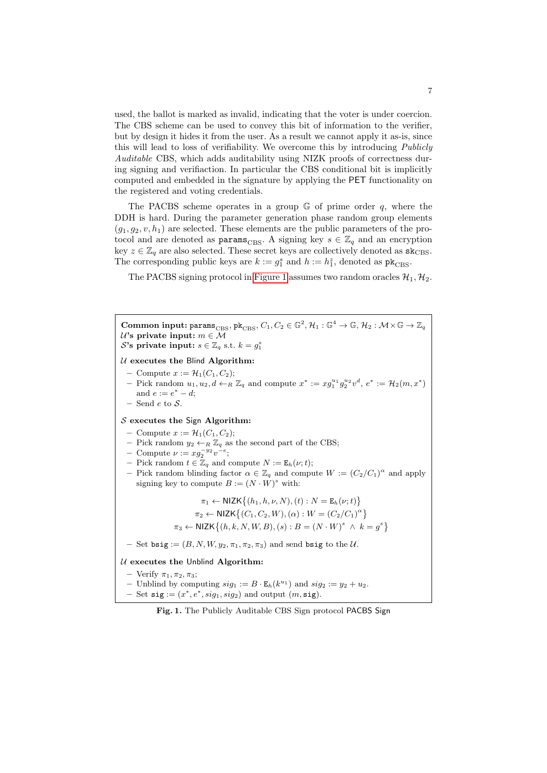used, the ballot is marked as invalid, indicating that the voter is under coercion. The CBS scheme can be used to convey this bit of information to the verifier, but by design it hides it from the user. As a result we cannot apply it as-is, since this will lead to loss of verifiability. We overcome this by introducing Publicly Auditable CBS, which adds auditability using NIZK proofs of correctness during signing and verifiaction. In particular the CBS conditional bit is implicitly computed and embedded in the signature by applying the PET functionality on the registered and voting credentials.

The PACBS scheme operates in a group  $\mathbb G$  of prime order q, where the DDH is hard. During the parameter generation phase random group elements  $(g_1, g_2, v, h_1)$  are selected. These elements are the public parameters of the protocol and are denoted as  $\text{params}_{\text{CBS}}$ . A signing key  $s \in \mathbb{Z}_q$  and an encryption key  $z \in \mathbb{Z}_q$  are also selected. These secret keys are collectively denoted as  $sk_{\text{CBS}}$ . The corresponding public keys are  $k := g_1^s$  and  $h := h_1^z$ , denoted as  $pk_{\text{CBS}}$ .

The PACBS signing protocol in [Figure 1](#page-6-0) assumes two random oracles  $\mathcal{H}_1, \mathcal{H}_2$ .

 $\bf{Common\; input: \;params}_{CBS}, \, pk_{CBS}, \, C_1, C_2 \in \mathbb{G}^2, \mathcal{H}_1: \mathbb{G}^4 \to \mathbb{G}, \, \mathcal{H}_2: \mathcal{M} \times \mathbb{G} \to \mathbb{Z}_q$  $U$ 's private input:  $m \in \overline{\mathcal{M}}$ S's private input:  $s \in \mathbb{Z}_q$  s.t.  $k = g_1^s$  $U$  executes the Blind Algorithm: – Compute  $x := \mathcal{H}_1(C_1, C_2);$ − Pick random  $u_1, u_2, d \leftarrow_R \mathbb{Z}_q$  and compute  $x^* := x g_1^{u_1} g_2^{u_2} v^d$ ,  $e^* := \mathcal{H}_2(m, x^*)$ and  $e := e^* - d;$ – Send  $e$  to  $S$ .  $S$  executes the Sign Algorithm: – Compute  $x := \mathcal{H}_1(C_1, C_2);$ – Pick random  $y_2 \leftarrow_R \mathbb{Z}_q$  as the second part of the CBS; - Compute  $\nu := x g_2^{-y_2} v^{-e};$ – Pick random  $t \in \mathbb{Z}_q$  and compute  $N := \mathbf{E}_h(\nu; t);$ - Pick random blinding factor  $\alpha \in \mathbb{Z}_q$  and compute  $W := (C_2/C_1)^{\alpha}$  and apply signing key to compute  $B := (N \cdot W)^s$  with:  $\pi_1 \leftarrow \mathsf{NIZK}\{(h_1, h, \nu, N), (t) : N = \mathsf{E}_h(\nu; t)\}\$  $\pi_2 \leftarrow \text{NIZK}\{(C_1, C_2, W), (\alpha) : W = (C_2/C_1)^{\alpha}\}\$  $\pi_3 \leftarrow \text{NIZK}\{(h, k, N, W, B), (s) : B = (N \cdot W)^s \land k = g^s\}$ – Set bsig :=  $(B, N, W, y_2, \pi_1, \pi_2, \pi_3)$  and send bsig to the  $U$ .  $U$  executes the Unblind Algorithm: – Verify  $\pi_1, \pi_2, \pi_3$ ; - Unblind by computing  $sig_1 := B \cdot \mathbf{E}_h(k^{u_1})$  and  $sig_2 := y_2 + u_2$ .  $-$  Set  $sig := (x^*, e^*, sig_1, sig_2)$  and output  $(m, sig)$ .

<span id="page-6-0"></span>Fig. 1. The Publicly Auditable CBS Sign protocol PACBS Sign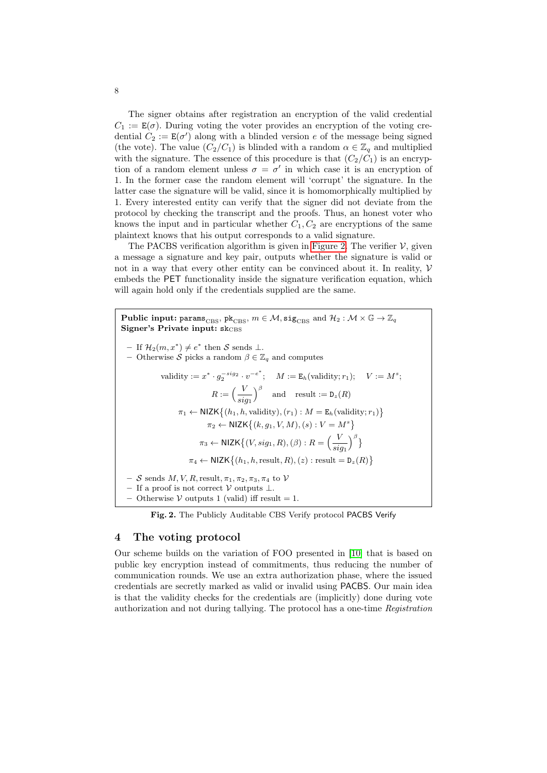The signer obtains after registration an encryption of the valid credential  $C_1 := E(\sigma)$ . During voting the voter provides an encryption of the voting credential  $C_2 := \mathbf{E}(\sigma')$  along with a blinded version e of the message being signed (the vote). The value  $(C_2/C_1)$  is blinded with a random  $\alpha \in \mathbb{Z}_q$  and multiplied with the signature. The essence of this procedure is that  $(C_2/C_1)$  is an encryption of a random element unless  $\sigma = \sigma'$  in which case it is an encryption of 1. In the former case the random element will 'corrupt' the signature. In the latter case the signature will be valid, since it is homomorphically multiplied by 1. Every interested entity can verify that the signer did not deviate from the protocol by checking the transcript and the proofs. Thus, an honest voter who knows the input and in particular whether  $C_1, C_2$  are encryptions of the same plaintext knows that his output corresponds to a valid signature.

The PACBS verification algorithm is given in [Figure 2.](#page-7-0) The verifier  $\mathcal{V}$ , given a message a signature and key pair, outputs whether the signature is valid or not in a way that every other entity can be convinced about it. In reality, V embeds the PET functionality inside the signature verification equation, which will again hold only if the credentials supplied are the same.

Public input: params<sub>CBS</sub>, pk<sub>CBS</sub>,  $m \in \mathcal{M}$ , sig<sub>CBS</sub> and  $\mathcal{H}_2 : \mathcal{M} \times \mathbb{G} \to \mathbb{Z}_q$ Signer's Private input:  $sk<sub>CBS</sub>$  $-$  If  $\mathcal{H}_2(m, x^*) \neq e^*$  then S sends ⊥. – Otherwise S picks a random  $\beta \in \mathbb{Z}_q$  and computes validity :=  $x^* \cdot g_2^{-sig_2} \cdot v^{-e^*}$ ;  $M := \mathbf{E}_h(\text{validity}; r_1)$ ;  $V := M^s$ ;  $R := \left( \frac{V}{\cdot} \right)$ sig<sup>1</sup>  $\big)$ <sup>β</sup> and result :=  $D_z(R)$  $\pi_1 \leftarrow \mathsf{NIZK}\{(h_1, h, \text{validity}), (r_1) : M = \mathsf{E}_h(\text{validity}; r_1)\}\$  $\pi_2 \leftarrow \text{NIZK}\{(k, g_1, V, M), (s) : V = M^s\}$  $\pi_3 \leftarrow \mathsf{NIZK}\{(V, sig_1, R), (\beta): R = \left(\frac{V}{\sigma^2}\right)$  $\frac{V}{sig_1}\Big)^{\beta}$  $\pi_4 \leftarrow \mathsf{NIZK}\{(h_1, h, \text{result}, R), (z) : \text{result} = \mathsf{D}_z(R)\}\$  $-$  S sends M, V, R, result,  $\pi_1, \pi_2, \pi_3, \pi_4$  to V – If a proof is not correct  $\mathcal V$  outputs  $\bot$ . – Otherwise V outputs 1 (valid) iff result  $= 1$ .

<span id="page-7-0"></span>Fig. 2. The Publicly Auditable CBS Verify protocol PACBS Verify

### 4 The voting protocol

Our scheme builds on the variation of FOO presented in [\[10\]](#page-13-15) that is based on public key encryption instead of commitments, thus reducing the number of communication rounds. We use an extra authorization phase, where the issued credentials are secretly marked as valid or invalid using PACBS. Our main idea is that the validity checks for the credentials are (implicitly) done during vote authorization and not during tallying. The protocol has a one-time Registration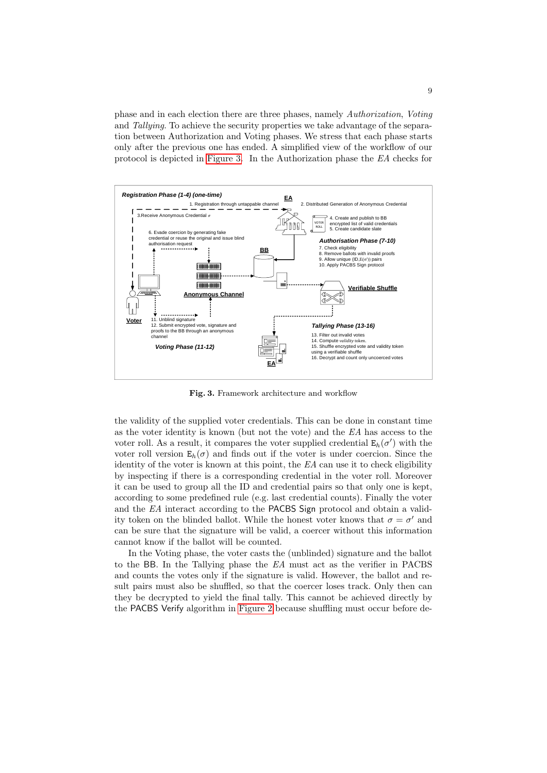phase and in each election there are three phases, namely Authorization, Voting and Tallying. To achieve the security properties we take advantage of the separation between Authorization and Voting phases. We stress that each phase starts only after the previous one has ended. A simplified view of the workflow of our protocol is depicted in [Figure 3.](#page-8-0) In the Authorization phase the EA checks for



<span id="page-8-0"></span>Fig. 3. Framework architecture and workflow

the validity of the supplied voter credentials. This can be done in constant time as the voter identity is known (but not the vote) and the EA has access to the voter roll. As a result, it compares the voter supplied credential  $E_h(\sigma')$  with the voter roll version  $E_h(\sigma)$  and finds out if the voter is under coercion. Since the identity of the voter is known at this point, the EA can use it to check eligibility by inspecting if there is a corresponding credential in the voter roll. Moreover it can be used to group all the ID and credential pairs so that only one is kept, according to some predefined rule (e.g. last credential counts). Finally the voter and the EA interact according to the PACBS Sign protocol and obtain a validity token on the blinded ballot. While the honest voter knows that  $\sigma = \sigma'$  and can be sure that the signature will be valid, a coercer without this information cannot know if the ballot will be counted.

In the Voting phase, the voter casts the (unblinded) signature and the ballot to the BB. In the Tallying phase the EA must act as the verifier in PACBS and counts the votes only if the signature is valid. However, the ballot and result pairs must also be shuffled, so that the coercer loses track. Only then can they be decrypted to yield the final tally. This cannot be achieved directly by the PACBS Verify algorithm in [Figure 2](#page-7-0) because shuffling must occur before de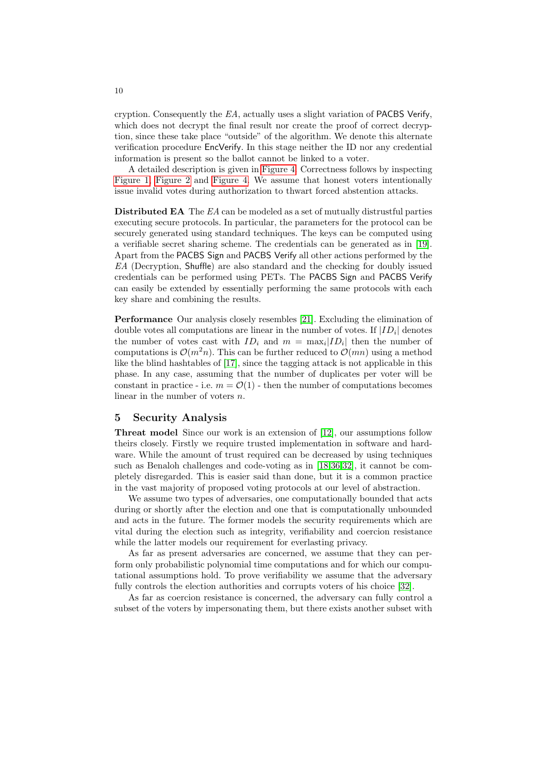cryption. Consequently the EA, actually uses a slight variation of PACBS Verify, which does not decrypt the final result nor create the proof of correct decryption, since these take place "outside" of the algorithm. We denote this alternate verification procedure EncVerify. In this stage neither the ID nor any credential information is present so the ballot cannot be linked to a voter.

A detailed description is given in [Figure 4.](#page-10-0) Correctness follows by inspecting [Figure 1,](#page-6-0) [Figure 2](#page-7-0) and [Figure 4.](#page-10-0) We assume that honest voters intentionally issue invalid votes during authorization to thwart forced abstention attacks.

Distributed EA The EA can be modeled as a set of mutually distrustful parties executing secure protocols. In particular, the parameters for the protocol can be securely generated using standard techniques. The keys can be computed using a verifiable secret sharing scheme. The credentials can be generated as in [\[19\]](#page-14-0). Apart from the PACBS Sign and PACBS Verify all other actions performed by the EA (Decryption, Shuffle) are also standard and the checking for doubly issued credentials can be performed using PETs. The PACBS Sign and PACBS Verify can easily be extended by essentially performing the same protocols with each key share and combining the results.

Performance Our analysis closely resembles [\[21\]](#page-14-19). Excluding the elimination of double votes all computations are linear in the number of votes. If  $|ID_i|$  denotes the number of votes cast with  $ID_i$  and  $m = \max_i |ID_i|$  then the number of computations is  $\mathcal{O}(m^2n)$ . This can be further reduced to  $\mathcal{O}(mn)$  using a method like the blind hashtables of [\[17\]](#page-13-4), since the tagging attack is not applicable in this phase. In any case, assuming that the number of duplicates per voter will be constant in practice - i.e.  $m = \mathcal{O}(1)$  - then the number of computations becomes linear in the number of voters n.

### 5 Security Analysis

Threat model Since our work is an extension of [\[12\]](#page-13-0), our assumptions follow theirs closely. Firstly we require trusted implementation in software and hardware. While the amount of trust required can be decreased by using techniques such as Benaloh challenges and code-voting as in [\[18](#page-13-16)[,36,](#page-14-9)[32\]](#page-14-20), it cannot be completely disregarded. This is easier said than done, but it is a common practice in the vast majority of proposed voting protocols at our level of abstraction.

We assume two types of adversaries, one computationally bounded that acts during or shortly after the election and one that is computationally unbounded and acts in the future. The former models the security requirements which are vital during the election such as integrity, verifiability and coercion resistance while the latter models our requirement for everlasting privacy.

As far as present adversaries are concerned, we assume that they can perform only probabilistic polynomial time computations and for which our computational assumptions hold. To prove verifiability we assume that the adversary fully controls the election authorities and corrupts voters of his choice [\[32\]](#page-14-20).

As far as coercion resistance is concerned, the adversary can fully control a subset of the voters by impersonating them, but there exists another subset with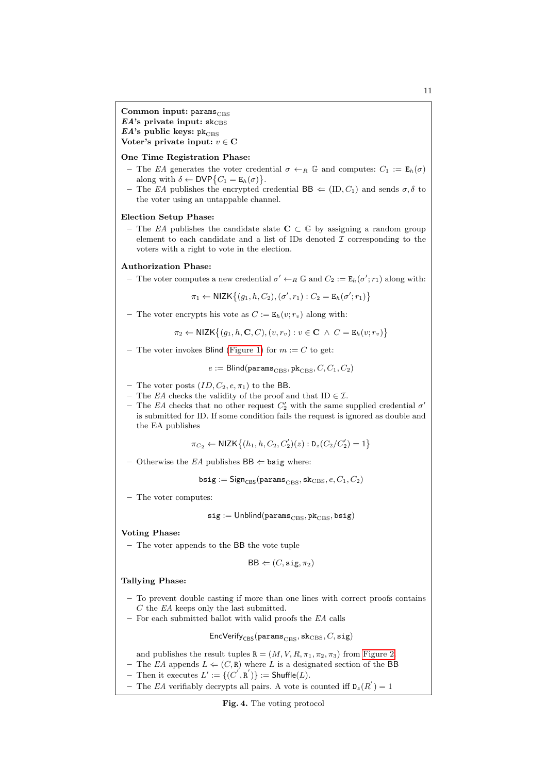Common input:  $params_{CBS}$  $EA$ 's private input: sk $_{\text{CBS}}$  $EA$ 's public keys: pk $_{\text{CBS}}$ Voter's private input:  $v \in \mathbb{C}$ 

### One Time Registration Phase:

- The EA generates the voter credential  $\sigma \leftarrow_R \mathbb{G}$  and computes:  $C_1 := \mathbb{E}_h(\sigma)$ along with  $\delta \leftarrow \textsf{DVP}\{C_1 = \mathbf{E}_h(\sigma)\}.$
- The EA publishes the encrypted credential BB  $\Leftarrow$  (ID,  $C_1$ ) and sends  $\sigma$ ,  $\delta$  to the voter using an untappable channel.

#### Election Setup Phase:

– The EA publishes the candidate slate  $C \subset \mathbb{G}$  by assigning a random group element to each candidate and a list of IDs denoted  $\mathcal I$  corresponding to the voters with a right to vote in the election.

#### Authorization Phase:

- The voter computes a new credential  $\sigma' \leftarrow_R \mathbb{G}$  and  $C_2 := \mathbb{E}_h(\sigma'; r_1)$  along with:

$$
\pi_1 \leftarrow \mathsf{NIZK}\{(g_1, h, C_2), (\sigma', r_1) : C_2 = \mathsf{E}_h(\sigma'; r_1)\}
$$

– The voter encrypts his vote as  $C := \mathbf{E}_h(v; r_v)$  along with:

$$
\pi_2 \leftarrow \mathsf{NIZK}\{(g_1, h, \mathbf{C}, C), (v, r_v) : v \in \mathbf{C} \land C = \mathbf{E}_h(v; r_v)\}
$$

– The voter invokes Blind [\(Figure 1\)](#page-6-0) for  $m := C$  to get:

$$
e:=\mathsf{Blind}(\mathsf{params}_\mathsf{CBS},\mathsf{pk}_\mathsf{CBS},C,C_1,C_2)
$$

- The voter posts  $(ID, C_2, e, \pi_1)$  to the BB.
- The  $EA$  checks the validity of the proof and that ID  $\in \mathcal{I}.$
- The EA checks that no other request  $C_2'$  with the same supplied credential  $\sigma'$ is submitted for ID. If some condition fails the request is ignored as double and the EA publishes

$$
\pi_{C_2} \leftarrow \mathsf{NIZK}\{(h_1, h, C_2, C'_2)(z) : \mathsf{D}_z(C_2/C'_2) = 1\}
$$

– Otherwise the EA publishes  $BB \Leftarrow$  bsig where:

 $\texttt{bsig} := \textsf{Sign}_{\texttt{CBS}}(\texttt{params}_{\texttt{CBS}}, \texttt{sk}_{\texttt{CBS}}, e, C_1, C_2)$ 

– The voter computes:

 $sig :=$ Unblind(params<sub>CBS</sub>, pk<sub>CBS</sub>, bsig)

Voting Phase:

– The voter appends to the BB the vote tuple

 $BB \Leftarrow (C, \texttt{sig}, \pi_2)$ 

#### Tallying Phase:

- To prevent double casting if more than one lines with correct proofs contains C the EA keeps only the last submitted.
- $-$  For each submitted ballot with valid proofs the  $EA$  calls

<span id="page-10-0"></span> $EncVerify_{CBS}(params_{CBS}, sk_{CBS}, C, sig)$ 

and publishes the result tuples  $\mathbf{R} = (M, V, R, \pi_1, \pi_2, \pi_3)$  from [Figure 2.](#page-7-0)

- The EA appends  $L \Leftarrow (C, R)$  where L is a designated section of the BB
- Then it executes  $L' := \{ (C', \mathbf{R}') \} := \mathsf{Shuffle}(L).$
- The EA verifiably decrypts all pairs. A vote is counted iff  $D_z(R') = 1$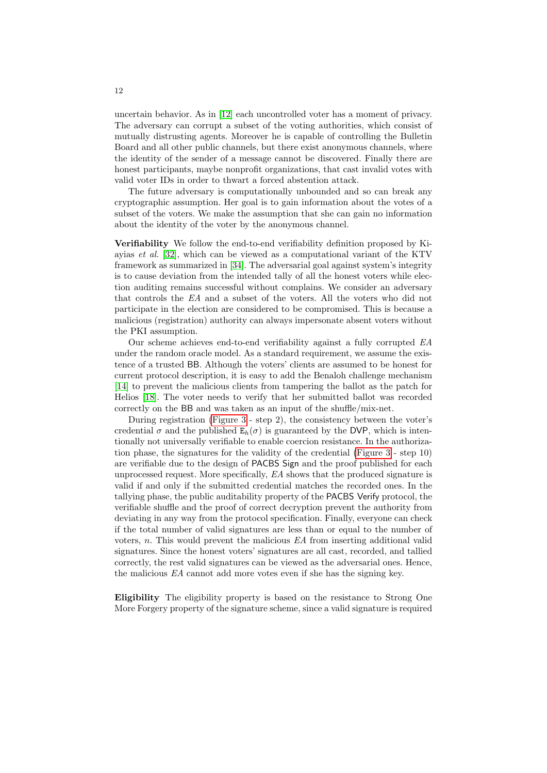uncertain behavior. As in [\[12\]](#page-13-0) each uncontrolled voter has a moment of privacy. The adversary can corrupt a subset of the voting authorities, which consist of mutually distrusting agents. Moreover he is capable of controlling the Bulletin Board and all other public channels, but there exist anonymous channels, where the identity of the sender of a message cannot be discovered. Finally there are honest participants, maybe nonprofit organizations, that cast invalid votes with valid voter IDs in order to thwart a forced abstention attack.

The future adversary is computationally unbounded and so can break any cryptographic assumption. Her goal is to gain information about the votes of a subset of the voters. We make the assumption that she can gain no information about the identity of the voter by the anonymous channel.

Verifiability We follow the end-to-end verifiability definition proposed by Kiayias et al. [\[32\]](#page-14-20), which can be viewed as a computational variant of the KTV framework as summarized in [\[34\]](#page-14-21). The adversarial goal against system's integrity is to cause deviation from the intended tally of all the honest voters while election auditing remains successful without complains. We consider an adversary that controls the EA and a subset of the voters. All the voters who did not participate in the election are considered to be compromised. This is because a malicious (registration) authority can always impersonate absent voters without the PKI assumption.

Our scheme achieves end-to-end verifiability against a fully corrupted EA under the random oracle model. As a standard requirement, we assume the existence of a trusted BB. Although the voters' clients are assumed to be honest for current protocol description, it is easy to add the Benaloh challenge mechanism [\[14\]](#page-13-17) to prevent the malicious clients from tampering the ballot as the patch for Helios [\[18\]](#page-13-16). The voter needs to verify that her submitted ballot was recorded correctly on the BB and was taken as an input of the shuffle/mix-net.

During registration [\(Figure 3](#page-8-0) - step 2), the consistency between the voter's credential  $\sigma$  and the published  $E_h(\sigma)$  is guaranteed by the DVP, which is intentionally not universally verifiable to enable coercion resistance. In the authorization phase, the signatures for the validity of the credential [\(Figure 3](#page-8-0) - step 10) are verifiable due to the design of PACBS Sign and the proof published for each unprocessed request. More specifically, EA shows that the produced signature is valid if and only if the submitted credential matches the recorded ones. In the tallying phase, the public auditability property of the PACBS Verify protocol, the verifiable shuffle and the proof of correct decryption prevent the authority from deviating in any way from the protocol specification. Finally, everyone can check if the total number of valid signatures are less than or equal to the number of voters, n. This would prevent the malicious EA from inserting additional valid signatures. Since the honest voters' signatures are all cast, recorded, and tallied correctly, the rest valid signatures can be viewed as the adversarial ones. Hence, the malicious EA cannot add more votes even if she has the signing key.

Eligibility The eligibility property is based on the resistance to Strong One More Forgery property of the signature scheme, since a valid signature is required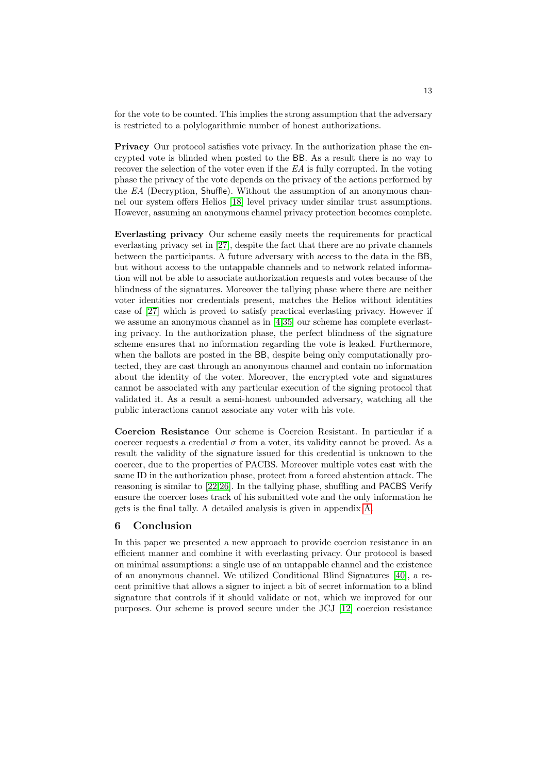for the vote to be counted. This implies the strong assumption that the adversary is restricted to a polylogarithmic number of honest authorizations.

Privacy Our protocol satisfies vote privacy. In the authorization phase the encrypted vote is blinded when posted to the BB. As a result there is no way to recover the selection of the voter even if the EA is fully corrupted. In the voting phase the privacy of the vote depends on the privacy of the actions performed by the EA (Decryption, Shuffle). Without the assumption of an anonymous channel our system offers Helios [\[18\]](#page-13-16) level privacy under similar trust assumptions. However, assuming an anonymous channel privacy protection becomes complete.

Everlasting privacy Our scheme easily meets the requirements for practical everlasting privacy set in [\[27\]](#page-14-13), despite the fact that there are no private channels between the participants. A future adversary with access to the data in the BB, but without access to the untappable channels and to network related information will not be able to associate authorization requests and votes because of the blindness of the signatures. Moreover the tallying phase where there are neither voter identities nor credentials present, matches the Helios without identities case of [\[27\]](#page-14-13) which is proved to satisfy practical everlasting privacy. However if we assume an anonymous channel as in [\[4,](#page-13-2)[35\]](#page-14-16) our scheme has complete everlasting privacy. In the authorization phase, the perfect blindness of the signature scheme ensures that no information regarding the vote is leaked. Furthermore, when the ballots are posted in the BB, despite being only computationally protected, they are cast through an anonymous channel and contain no information about the identity of the voter. Moreover, the encrypted vote and signatures cannot be associated with any particular execution of the signing protocol that validated it. As a result a semi-honest unbounded adversary, watching all the public interactions cannot associate any voter with his vote.

Coercion Resistance Our scheme is Coercion Resistant. In particular if a coercer requests a credential  $\sigma$  from a voter, its validity cannot be proved. As a result the validity of the signature issued for this credential is unknown to the coercer, due to the properties of PACBS. Moreover multiple votes cast with the same ID in the authorization phase, protect from a forced abstention attack. The reasoning is similar to [\[22](#page-14-7)[,26\]](#page-14-8). In the tallying phase, shuffling and PACBS Verify ensure the coercer loses track of his submitted vote and the only information he gets is the final tally. A detailed analysis is given in appendix [A.](#page-15-0)

### 6 Conclusion

In this paper we presented a new approach to provide coercion resistance in an efficient manner and combine it with everlasting privacy. Our protocol is based on minimal assumptions: a single use of an untappable channel and the existence of an anonymous channel. We utilized Conditional Blind Signatures [\[40\]](#page-14-2), a recent primitive that allows a signer to inject a bit of secret information to a blind signature that controls if it should validate or not, which we improved for our purposes. Our scheme is proved secure under the JCJ [\[12\]](#page-13-0) coercion resistance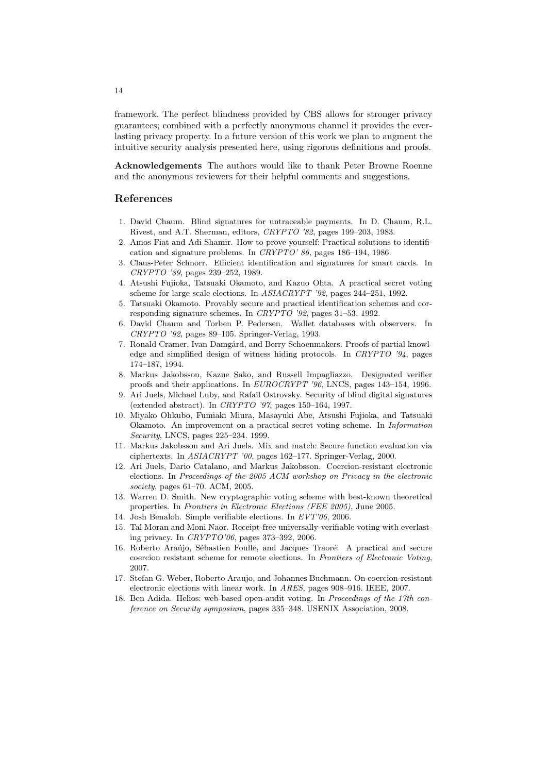framework. The perfect blindness provided by CBS allows for stronger privacy guarantees; combined with a perfectly anonymous channel it provides the everlasting privacy property. In a future version of this work we plan to augment the intuitive security analysis presented here, using rigorous definitions and proofs.

Acknowledgements The authors would like to thank Peter Browne Roenne and the anonymous reviewers for their helpful comments and suggestions.

### References

- <span id="page-13-11"></span>1. David Chaum. Blind signatures for untraceable payments. In D. Chaum, R.L. Rivest, and A.T. Sherman, editors, CRYPTO '82, pages 199–203, 1983.
- <span id="page-13-7"></span>2. Amos Fiat and Adi Shamir. How to prove yourself: Practical solutions to identification and signature problems. In CRYPTO' 86, pages 186–194, 1986.
- <span id="page-13-9"></span>3. Claus-Peter Schnorr. Efficient identification and signatures for smart cards. In CRYPTO '89, pages 239–252, 1989.
- <span id="page-13-2"></span>4. Atsushi Fujioka, Tatsuaki Okamoto, and Kazuo Ohta. A practical secret voting scheme for large scale elections. In ASIACRYPT '92, pages 244–251, 1992.
- <span id="page-13-14"></span>5. Tatsuaki Okamoto. Provably secure and practical identification schemes and corresponding signature schemes. In CRYPTO '92, pages 31–53, 1992.
- <span id="page-13-6"></span>6. David Chaum and Torben P. Pedersen. Wallet databases with observers. In CRYPTO '92, pages 89–105. Springer-Verlag, 1993.
- <span id="page-13-8"></span>7. Ronald Cramer, Ivan Damgård, and Berry Schoenmakers. Proofs of partial knowledge and simplified design of witness hiding protocols. In CRYPTO '94, pages 174–187, 1994.
- <span id="page-13-10"></span>8. Markus Jakobsson, Kazue Sako, and Russell Impagliazzo. Designated verifier proofs and their applications. In EUROCRYPT '96, LNCS, pages 143–154, 1996.
- <span id="page-13-12"></span>9. Ari Juels, Michael Luby, and Rafail Ostrovsky. Security of blind digital signatures (extended abstract). In CRYPTO '97, pages 150–164, 1997.
- <span id="page-13-15"></span>10. Miyako Ohkubo, Fumiaki Miura, Masayuki Abe, Atsushi Fujioka, and Tatsuaki Okamoto. An improvement on a practical secret voting scheme. In Information Security, LNCS, pages 225–234. 1999.
- <span id="page-13-13"></span>11. Markus Jakobsson and Ari Juels. Mix and match: Secure function evaluation via ciphertexts. In ASIACRYPT '00, pages 162–177. Springer-Verlag, 2000.
- <span id="page-13-0"></span>12. Ari Juels, Dario Catalano, and Markus Jakobsson. Coercion-resistant electronic elections. In Proceedings of the 2005 ACM workshop on Privacy in the electronic society, pages 61–70. ACM, 2005.
- <span id="page-13-3"></span>13. Warren D. Smith. New cryptographic voting scheme with best-known theoretical properties. In Frontiers in Electronic Elections (FEE 2005), June 2005.
- <span id="page-13-17"></span>14. Josh Benaloh. Simple verifiable elections. In EVT'06, 2006.
- <span id="page-13-1"></span>15. Tal Moran and Moni Naor. Receipt-free universally-verifiable voting with everlasting privacy. In CRYPTO'06, pages 373–392, 2006.
- <span id="page-13-5"></span>16. Roberto Araújo, Sébastien Foulle, and Jacques Traoré. A practical and secure coercion resistant scheme for remote elections. In Frontiers of Electronic Voting, 2007.
- <span id="page-13-4"></span>17. Stefan G. Weber, Roberto Araujo, and Johannes Buchmann. On coercion-resistant electronic elections with linear work. In ARES, pages 908–916. IEEE, 2007.
- <span id="page-13-16"></span>18. Ben Adida. Helios: web-based open-audit voting. In Proceedings of the 17th conference on Security symposium, pages 335–348. USENIX Association, 2008.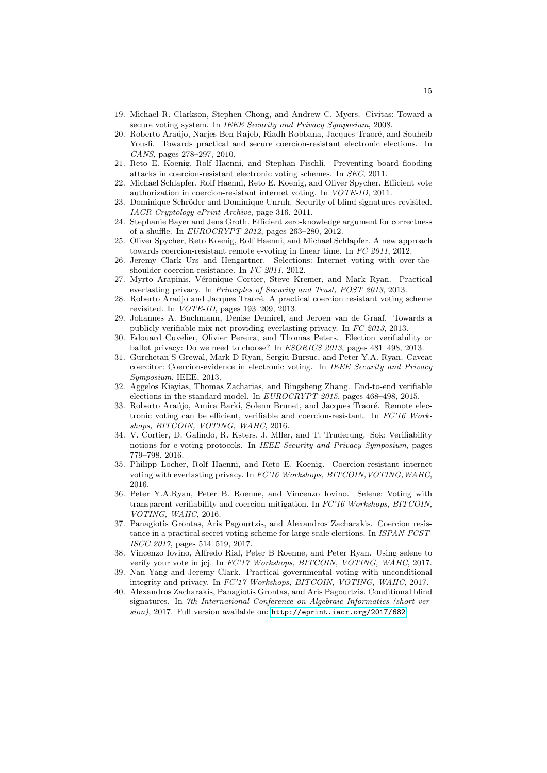- <span id="page-14-0"></span>19. Michael R. Clarkson, Stephen Chong, and Andrew C. Myers. Civitas: Toward a secure voting system. In IEEE Security and Privacy Symposium, 2008.
- <span id="page-14-3"></span>20. Roberto Araújo, Narjes Ben Rajeb, Riadh Robbana, Jacques Traoré, and Souheib Yousfi. Towards practical and secure coercion-resistant electronic elections. In CANS, pages 278–297, 2010.
- <span id="page-14-19"></span>21. Reto E. Koenig, Rolf Haenni, and Stephan Fischli. Preventing board flooding attacks in coercion-resistant electronic voting schemes. In SEC, 2011.
- <span id="page-14-7"></span>22. Michael Schlapfer, Rolf Haenni, Reto E. Koenig, and Oliver Spycher. Efficient vote authorization in coercion-resistant internet voting. In VOTE-ID, 2011.
- <span id="page-14-18"></span>23. Dominique Schröder and Dominique Unruh. Security of blind signatures revisited. IACR Cryptology ePrint Archive, page 316, 2011.
- <span id="page-14-17"></span>24. Stephanie Bayer and Jens Groth. Efficient zero-knowledge argument for correctness of a shuffle. In EUROCRYPT 2012, pages 263–280, 2012.
- <span id="page-14-6"></span>25. Oliver Spycher, Reto Koenig, Rolf Haenni, and Michael Schlapfer. A new approach towards coercion-resistant remote e-voting in linear time. In FC 2011, 2012.
- <span id="page-14-8"></span>26. Jeremy Clark Urs and Hengartner. Selections: Internet voting with over-theshoulder coercion-resistance. In FC 2011, 2012.
- <span id="page-14-13"></span>27. Myrto Arapinis, Véronique Cortier, Steve Kremer, and Mark Ryan. Practical everlasting privacy. In Principles of Security and Trust, POST 2013, 2013.
- <span id="page-14-4"></span>28. Roberto Araújo and Jacques Traoré. A practical coercion resistant voting scheme revisited. In VOTE-ID, pages 193–209, 2013.
- <span id="page-14-12"></span>29. Johannes A. Buchmann, Denise Demirel, and Jeroen van de Graaf. Towards a publicly-verifiable mix-net providing everlasting privacy. In FC 2013, 2013.
- <span id="page-14-11"></span>30. Edouard Cuvelier, Olivier Pereira, and Thomas Peters. Election verifiability or ballot privacy: Do we need to choose? In ESORICS 2013, pages 481–498, 2013.
- <span id="page-14-10"></span>31. Gurchetan S Grewal, Mark D Ryan, Sergiu Bursuc, and Peter Y.A. Ryan. Caveat coercitor: Coercion-evidence in electronic voting. In IEEE Security and Privacy Symposium. IEEE, 2013.
- <span id="page-14-20"></span>32. Aggelos Kiayias, Thomas Zacharias, and Bingsheng Zhang. End-to-end verifiable elections in the standard model. In EUROCRYPT 2015, pages 468–498, 2015.
- <span id="page-14-5"></span>33. Roberto Araújo, Amira Barki, Solenn Brunet, and Jacques Traoré. Remote electronic voting can be efficient, verifiable and coercion-resistant. In FC'16 Workshops, BITCOIN, VOTING, WAHC, 2016.
- <span id="page-14-21"></span>34. V. Cortier, D. Galindo, R. Ksters, J. Mller, and T. Truderung. Sok: Verifiability notions for e-voting protocols. In IEEE Security and Privacy Symposium, pages 779–798, 2016.
- <span id="page-14-16"></span>35. Philipp Locher, Rolf Haenni, and Reto E. Koenig. Coercion-resistant internet voting with everlasting privacy. In FC'16 Workshops, BITCOIN,VOTING,WAHC, 2016.
- <span id="page-14-9"></span>36. Peter Y.A.Ryan, Peter B. Roenne, and Vincenzo Iovino. Selene: Voting with transparent verifiability and coercion-mitigation. In FC'16 Workshops, BITCOIN, VOTING, WAHC, 2016.
- <span id="page-14-1"></span>37. Panagiotis Grontas, Aris Pagourtzis, and Alexandros Zacharakis. Coercion resistance in a practical secret voting scheme for large scale elections. In ISPAN-FCST-ISCC 2017, pages 514–519, 2017.
- <span id="page-14-15"></span>38. Vincenzo Iovino, Alfredo Rial, Peter B Roenne, and Peter Ryan. Using selene to verify your vote in jcj. In FC'17 Workshops, BITCOIN, VOTING, WAHC, 2017.
- <span id="page-14-14"></span>39. Nan Yang and Jeremy Clark. Practical governmental voting with unconditional integrity and privacy. In FC'17 Workshops, BITCOIN, VOTING, WAHC, 2017.
- <span id="page-14-2"></span>40. Alexandros Zacharakis, Panagiotis Grontas, and Aris Pagourtzis. Conditional blind signatures. In 7th International Conference on Algebraic Informatics (short version), 2017. Full version available on: <http://eprint.iacr.org/2017/682>.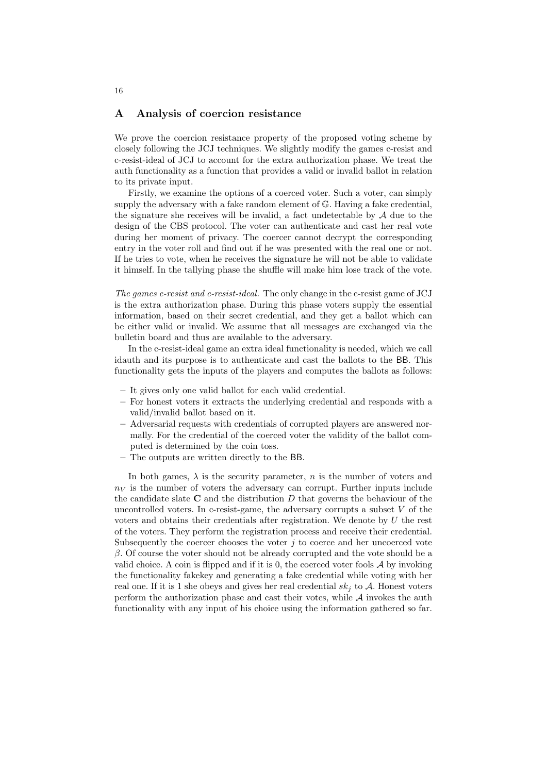#### <span id="page-15-0"></span>A Analysis of coercion resistance

We prove the coercion resistance property of the proposed voting scheme by closely following the JCJ techniques. We slightly modify the games c-resist and c-resist-ideal of JCJ to account for the extra authorization phase. We treat the auth functionality as a function that provides a valid or invalid ballot in relation to its private input.

Firstly, we examine the options of a coerced voter. Such a voter, can simply supply the adversary with a fake random element of G. Having a fake credential, the signature she receives will be invalid, a fact undetectable by  $A$  due to the design of the CBS protocol. The voter can authenticate and cast her real vote during her moment of privacy. The coercer cannot decrypt the corresponding entry in the voter roll and find out if he was presented with the real one or not. If he tries to vote, when he receives the signature he will not be able to validate it himself. In the tallying phase the shuffle will make him lose track of the vote.

The games c-resist and c-resist-ideal. The only change in the c-resist game of JCJ is the extra authorization phase. During this phase voters supply the essential information, based on their secret credential, and they get a ballot which can be either valid or invalid. We assume that all messages are exchanged via the bulletin board and thus are available to the adversary.

In the c-resist-ideal game an extra ideal functionality is needed, which we call idauth and its purpose is to authenticate and cast the ballots to the BB. This functionality gets the inputs of the players and computes the ballots as follows:

- It gives only one valid ballot for each valid credential.
- For honest voters it extracts the underlying credential and responds with a valid/invalid ballot based on it.
- Adversarial requests with credentials of corrupted players are answered normally. For the credential of the coerced voter the validity of the ballot computed is determined by the coin toss.
- The outputs are written directly to the BB.

In both games,  $\lambda$  is the security parameter, n is the number of voters and  $n_V$  is the number of voters the adversary can corrupt. Further inputs include the candidate slate  $C$  and the distribution  $D$  that governs the behaviour of the uncontrolled voters. In c-resist-game, the adversary corrupts a subset  $V$  of the voters and obtains their credentials after registration. We denote by  $U$  the rest of the voters. They perform the registration process and receive their credential. Subsequently the coercer chooses the voter  $j$  to coerce and her uncoerced vote  $\beta$ . Of course the voter should not be already corrupted and the vote should be a valid choice. A coin is flipped and if it is 0, the coerced voter fools  $A$  by invoking the functionality fakekey and generating a fake credential while voting with her real one. If it is 1 she obeys and gives her real credential  $sk_j$  to A. Honest voters perform the authorization phase and cast their votes, while  $A$  invokes the auth functionality with any input of his choice using the information gathered so far.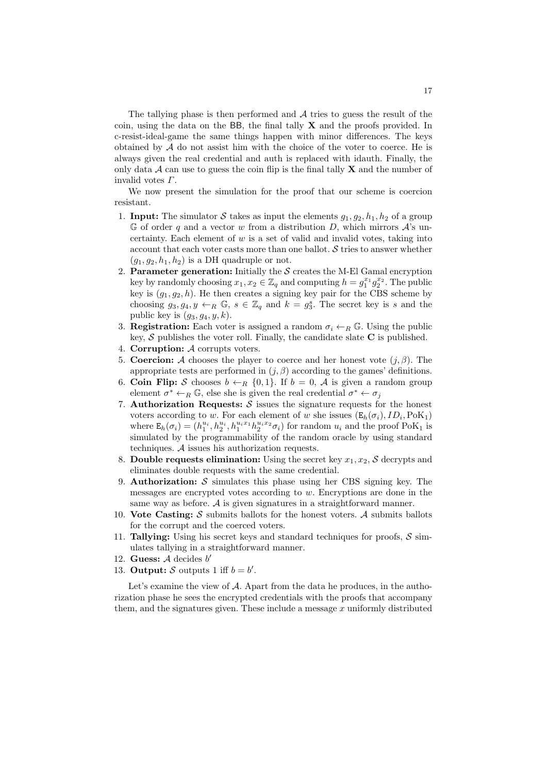The tallying phase is then performed and  $A$  tries to guess the result of the coin, using the data on the BB, the final tally  $X$  and the proofs provided. In c-resist-ideal-game the same things happen with minor differences. The keys obtained by  $A$  do not assist him with the choice of the voter to coerce. He is always given the real credential and auth is replaced with idauth. Finally, the only data  $A$  can use to guess the coin flip is the final tally  $X$  and the number of invalid votes Γ.

We now present the simulation for the proof that our scheme is coercion resistant.

- 1. **Input:** The simulator S takes as input the elements  $g_1, g_2, h_1, h_2$  of a group  $\mathbb G$  of order q and a vector w from a distribution D, which mirrors  $\mathcal A$ 's uncertainty. Each element of  $w$  is a set of valid and invalid votes, taking into account that each voter casts more than one ballot.  $S$  tries to answer whether  $(q_1, q_2, h_1, h_2)$  is a DH quadruple or not.
- 2. Parameter generation: Initially the  $S$  creates the M-El Gamal encryption key by randomly choosing  $x_1, x_2 \in \mathbb{Z}_q$  and computing  $h = g_1^{x_1} g_2^{x_2}$ . The public key is  $(g_1, g_2, h)$ . He then creates a signing key pair for the CBS scheme by choosing  $g_3, g_4, y \leftarrow_R \mathbb{G}, s \in \mathbb{Z}_q$  and  $k = g_3^s$ . The secret key is s and the public key is  $(g_3, g_4, y, k)$ .
- 3. **Registration:** Each voter is assigned a random  $\sigma_i \leftarrow_R \mathbb{G}$ . Using the public key,  $S$  publishes the voter roll. Finally, the candidate slate  $C$  is published.
- 4. Corruption: A corrupts voters.
- 5. Coercion: A chooses the player to coerce and her honest vote  $(j, \beta)$ . The appropriate tests are performed in  $(j, \beta)$  according to the games' definitions.
- 6. Coin Flip: S chooses  $b \leftarrow_R \{0,1\}$ . If  $b = 0$ , A is given a random group element  $\sigma^* \leftarrow_R \mathbb{G}$ , else she is given the real credential  $\sigma^* \leftarrow \sigma_j$
- 7. Authorization Requests:  $S$  issues the signature requests for the honest voters according to w. For each element of w she issues  $(E_h(\sigma_i), ID_i, PoK_1)$ where  $\mathbf{E}_h(\sigma_i) = (h_1^{u_i}, h_2^{u_i}, h_1^{u_i x_1} h_2^{u_i x_2} \sigma_i)$  for random  $u_i$  and the proof PoK<sub>1</sub> is simulated by the programmability of the random oracle by using standard techniques. A issues his authorization requests.
- 8. Double requests elimination: Using the secret key  $x_1, x_2, S$  decrypts and eliminates double requests with the same credential.
- 9. **Authorization:** S simulates this phase using her CBS signing key. The messages are encrypted votes according to w. Encryptions are done in the same way as before.  $A$  is given signatures in a straightforward manner.
- 10. Vote Casting:  $S$  submits ballots for the honest voters. A submits ballots for the corrupt and the coerced voters.
- 11. **Tallying:** Using his secret keys and standard techniques for proofs,  $S$  simulates tallying in a straightforward manner.
- 12. Guess:  $A$  decides  $b'$
- 13. Output:  $S$  outputs 1 iff  $b = b'$ .

Let's examine the view of A. Apart from the data he produces, in the authorization phase he sees the encrypted credentials with the proofs that accompany them, and the signatures given. These include a message  $x$  uniformly distributed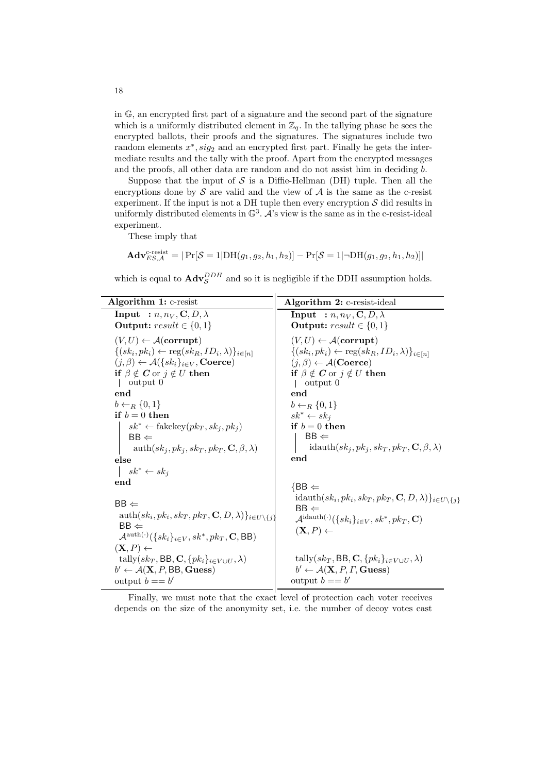in G, an encrypted first part of a signature and the second part of the signature which is a uniformly distributed element in  $\mathbb{Z}_q$ . In the tallying phase he sees the encrypted ballots, their proofs and the signatures. The signatures include two random elements  $x^*$ ,  $sig_2$  and an encrypted first part. Finally he gets the intermediate results and the tally with the proof. Apart from the encrypted messages and the proofs, all other data are random and do not assist him in deciding b.

Suppose that the input of  $S$  is a Diffie-Hellman (DH) tuple. Then all the encryptions done by  $S$  are valid and the view of  $A$  is the same as the c-resist experiment. If the input is not a DH tuple then every encryption  $S$  did results in uniformly distributed elements in  $\mathbb{G}^3$ .  $\mathcal{A}$ 's view is the same as in the c-resist-ideal experiment.

These imply that

$$
Adv_{ES,\mathcal{A}}^{c\text{-resist}} = |\Pr[\mathcal{S} = 1 | DH(g_1, g_2, h_1, h_2)] - \Pr[\mathcal{S} = 1 | \neg DH(g_1, g_2, h_1, h_2)]|
$$

which is equal to  $\mathbf{Adv}_{\mathcal{S}}^{DDH}$  and so it is negligible if the DDH assumption holds.

| Algorithm 1: c-resist                                                                      | Algorithm 2: c-resist-ideal                                                            |
|--------------------------------------------------------------------------------------------|----------------------------------------------------------------------------------------|
| <b>Input</b> : $n, n_V, C, D, \lambda$                                                     | <b>Input</b> : $n, n_V, C, D, \lambda$                                                 |
| <b>Output:</b> $result \in \{0, 1\}$                                                       | <b>Output:</b> $result \in \{0, 1\}$                                                   |
| $(V, U) \leftarrow \mathcal{A}(\text{corrupt})$                                            | $(V, U) \leftarrow \mathcal{A}(\text{corrupt})$                                        |
| $\{(sk_i, pk_i) \leftarrow \text{reg}(sk_R, ID_i, \lambda)\}_{i \in [n]}$                  | $\{(sk_i, pk_i) \leftarrow \text{reg}(sk_R, ID_i, \lambda)\}_{i \in [n]}$              |
| $(j, \beta) \leftarrow \mathcal{A}(\{sk_i\}_{i \in V}, \mathbf{Coerce})$                   | $(j, \beta) \leftarrow \mathcal{A}(\text{Coerce})$                                     |
| if $\beta \notin C$ or $j \notin U$ then                                                   | if $\beta \notin C$ or $j \notin U$ then                                               |
| output 0                                                                                   | output 0                                                                               |
| end                                                                                        | end                                                                                    |
| $b \leftarrow_R \{0,1\}$                                                                   | $b \leftarrow_R \{0,1\}$                                                               |
| if $b=0$ then                                                                              | $sk^* \leftarrow sk_i$                                                                 |
| $sk^* \leftarrow \text{fakekey}(pk_T, sk_i, pk_i)$                                         | if $b = 0$ then                                                                        |
| $BB \Leftarrow$                                                                            | $BB \Leftarrow$                                                                        |
| $\text{auth}(sk_i, pk_j, sk_T, pk_T, \mathbf{C}, \beta, \lambda)$                          | idauth $(sk_j, pk_j, sk_T, pk_T, \mathbf{C}, \beta, \lambda)$                          |
| else                                                                                       | end                                                                                    |
| $sk^* \leftarrow sk_i$                                                                     |                                                                                        |
| end                                                                                        | $\{BB \Leftarrow$                                                                      |
|                                                                                            | idauth $(sk_i, pk_i, sk_T, pk_T, \mathbf{C}, D, \lambda) \}_{i \in U \setminus \{j\}}$ |
| $BB \Leftarrow$                                                                            | $BB \Leftarrow$                                                                        |
| auth $(sk_i, pk_i, sk_T, pk_T, \mathbf{C}, D, \lambda) \}_{i \in U \setminus \{j\}}$       | $\mathcal{A}^{\text{idauth}(\cdot)}(\{sk_i\}_{i\in V}, sk^*, pk_T, \mathbf{C})$        |
| $BR \Leftarrow$                                                                            | $(X, P) \leftarrow$                                                                    |
| $\mathcal{A}^{\text{auth}(\cdot)}(\{sk_i\}_{i\in V}, sk^*, pk_T, \mathbf{C}, \mathsf{BB})$ |                                                                                        |
| $(X, P) \leftarrow$                                                                        |                                                                                        |
| tally(sk <sub>T</sub> , BB, C, { $pk_i$ } <sub>i∈V∪U</sub> , $\lambda$ )                   | tally(sk <sub>T</sub> , BB, C, { $pk_i$ } <sub>i∈V∪U</sub> , $\lambda$ )               |
| $b' \leftarrow \mathcal{A}(\mathbf{X}, P, \text{BB}, \mathbf{G}$ uess)                     | $b' \leftarrow \mathcal{A}(\mathbf{X}, P, \Gamma, \mathbf{G}$ uess)                    |
| output $b == b'$                                                                           | output $b == b'$                                                                       |

Finally, we must note that the exact level of protection each voter receives depends on the size of the anonymity set, i.e. the number of decoy votes cast

18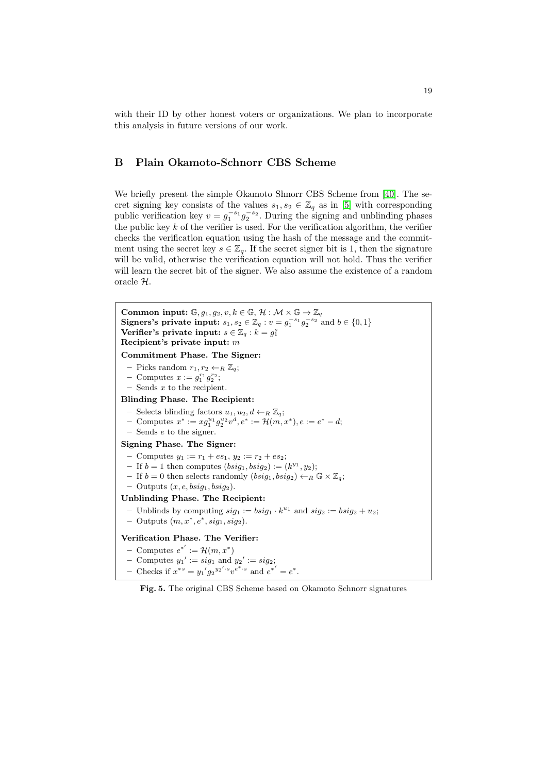with their ID by other honest voters or organizations. We plan to incorporate this analysis in future versions of our work.

### <span id="page-18-0"></span>B Plain Okamoto-Schnorr CBS Scheme

We briefly present the simple Okamoto Shnorr CBS Scheme from [\[40\]](#page-14-2). The secret signing key consists of the values  $s_1, s_2 \in \mathbb{Z}_q$  as in [\[5\]](#page-13-14) with corresponding public verification key  $v = g_1^{-s_1} g_2^{-s_2}$ . During the signing and unblinding phases the public key  $k$  of the verifier is used. For the verification algorithm, the verifier checks the verification equation using the hash of the message and the commitment using the secret key  $s \in \mathbb{Z}_q$ . If the secret signer bit is 1, then the signature will be valid, otherwise the verification equation will not hold. Thus the verifier will learn the secret bit of the signer. We also assume the existence of a random oracle H.

Common input:  $\mathbb{G}, g_1, g_2, v, k \in \mathbb{G}, \mathcal{H} : \mathcal{M} \times \mathbb{G} \to \mathbb{Z}_q$ Signers's private input:  $s_1, s_2 \in \mathbb{Z}_q : v = g_1^{-s_1} g_2^{-s_2}$  and  $b \in \{0, 1\}$ Verifier's private input:  $s \in \mathbb{Z}_q : k = g_1^s$ Recipient's private input: m Commitment Phase. The Signer: – Picks random  $r_1, r_2 \leftarrow_R \mathbb{Z}_q$ ; – Computes  $x := g_1^{r_1} g_2^{r_2}$ ;  $-$  Sends  $x$  to the recipient. Blinding Phase. The Recipient: – Selects blinding factors  $u_1, u_2, d \leftarrow_R \mathbb{Z}_q$ ; - Computes  $x^* := xg_1^{u_1}g_2^{u_2}v^d, e^* := \mathcal{H}(m, x^*), e := e^* - d;$ – Sends e to the signer. Signing Phase. The Signer: – Computes  $y_1 := r_1 + es_1, y_2 := r_2 + es_2;$ - If  $b = 1$  then computes  $(bsig_1, bisig_2) := (k^{y_1}, y_2);$ – If  $b = 0$  then selects randomly  $(bsig_1, bisig_2) \leftarrow_R \mathbb{G} \times \mathbb{Z}_q$ ; – Outputs  $(x, e, b \times i g_1, b \times i g_2)$ . Unblinding Phase. The Recipient: - Unblinds by computing  $sig_1 := bsig_1 \cdot k^{u_1}$  and  $sig_2 := bsig_2 + u_2$ ;  $-$  Outputs  $(m, x^*, e^*, sig_1, sig_2).$ Verification Phase. The Verifier:  $\sim$  Computes  $e^{*'} := \mathcal{H}(m, x^*)$ - Computes  $y_1' := sig_1$  and  $y_2' := sig_2$ ; - Checks if  $x^{*s} = y_1' g_2^{y_2' \cdot s} v^{e^* \cdot s}$  and  $e^{*'} = e^*$ .

<span id="page-18-1"></span>Fig. 5. The original CBS Scheme based on Okamoto Schnorr signatures